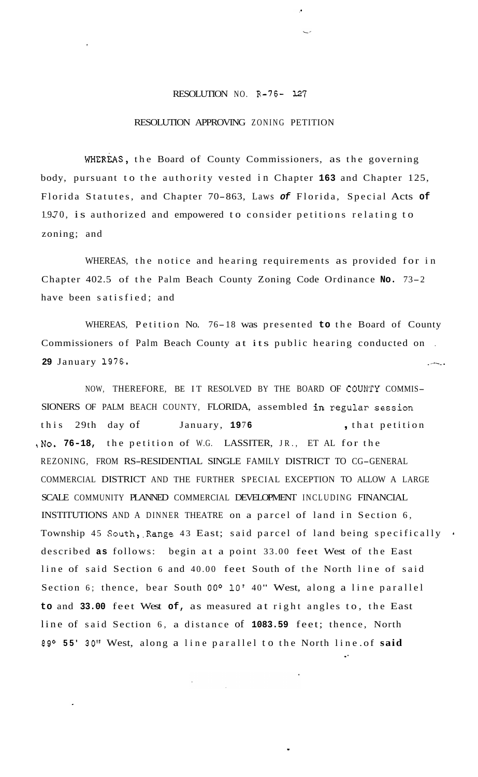## RESOLUTION NO. R-76- *127*

## RESOLUTION APPROVING ZONING PETITION

WHEREAS, the Board of County Commissioners, as the governing body, pursuant to the authority vested in Chapter **163** and Chapter 125, Florida Statutes, and Chapter 70-863, Laws *of* Florida, Special Acts **of**  1970, is authorized and empowered to consider petitions relating to zoning; and

WHEREAS, the notice and hearing requirements as provided for in Chapter 402.5 of the Palm Beach County Zoning Code Ordinance **No.** 73-2 have been satisfied; and

WHEREAS, Petition No. 76-18 was presented **to** the Board of County Commissioners of Palm Beach County at its public hearing conducted on . 29 January 1976.

NOW, THEREFORE, BE IT RESOLVED BY THE BOARD OF COUNTY COMMIS-SIONERS OF PALM BEACH COUNTY, FLORIDA, assembled in regular session this 29th day of January, 1976 , that petition ,No. **76-18,** the petition of W.G. LASSITER, JR., ET AL for the REZONING, FROM RS-RESIDENTIAL SINGLE FAMILY DISTRICT TO CG-GENERAL COMMERCIAL DISTRICT AND THE FURTHER SPECIAL EXCEPTION TO ALLOW A LARGE SCALE COMMUNITY PLANNED COMMERCIAL DEVELOPMENT INCLUDING FINANCIAL INSTITUTIONS AND A DINNER THEATRE on a parcel of land in Section 6, Township 45 South, Range 43 East; said parcel of land being specifically . described **as** follows: begin at a point 33.00 feet West of the East line of said Section 6 and 40.00 feet South of the North line of said Section 6; thence, bear South 00° 10' 40" West, along a line parallel **to** and **33.00** feet West **of,** as measured at right angles to, the East line of said Section 6, a distance of **1083.59** feet; thence, North 89O **55' 30"** West, along a line parallel to the North line .of **said**  .\*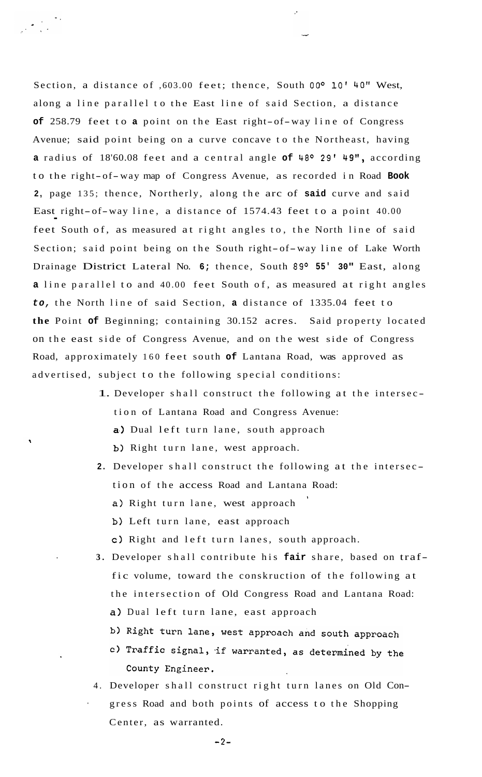Section, a distance of ,603.00 feet; thence, South **OOo LO'** 40" West, along a line parallel to the East line of said Section, a distance **of** 258.79 feet to **a** point on the East right-of-way line of Congress Avenue; said point being on a curve concave to the Northeast, having a radius of 18'60.08 feet and a central angle of 48° 29' 49", according to the right-of-way map of Congress Avenue, as recorded in Road **Book 2,** page 135; thence, Northerly, along the arc of **said** curve and said East right-of-way line, a distance of 1574.43 feet to a point 40.00 feet South of, as measured at right angles to, the North line of said Section; said point being on the South right-of-way line of Lake Worth Drainage District Lateral No. 6; thence, South 89° 55' 30" East, along **a** line parallel to and 40.00 feet South of, as measured at right angles *to,* the North line of said Section, **a** distance of 1335.04 feet to **the** Point **of** Beginning; containing 30.152 acres. Said property located on the east side of Congress Avenue, and on the west side of Congress Road, approximately 160 feet south **of** Lantana Road, was approved as advertised, subject to the following special conditions:

- 1. Developer shall construct the following at the intersec tion of Lantana Road and Congress Avenue: a) Dual left turn lane, south approach **b)** Right turn lane, west approach.
- **2.** Developer shall construct the following at the intersec tion of the access Road and Lantana Road: a) Right turn lane, west approach **<sup>l</sup>**
	- b) Left turn lane, east approach
	- **c)** Right and left turn lanes, south approach.
- **3.** Developer shall contribute his **fair** share, based on traffic volume, toward the conskruction of the following at the intersection of Old Congress Road and Lantana Road: a) Dual left turn lane, east approach
	- b) Right turn lane, west approach and south approach
	- c) Traffic signal, if warranted, as determined by the County Engineer.
- 4. Developer shall construct right turn lanes on Old Con- ' gress Road and both points of access to the Shopping Center, as warranted.